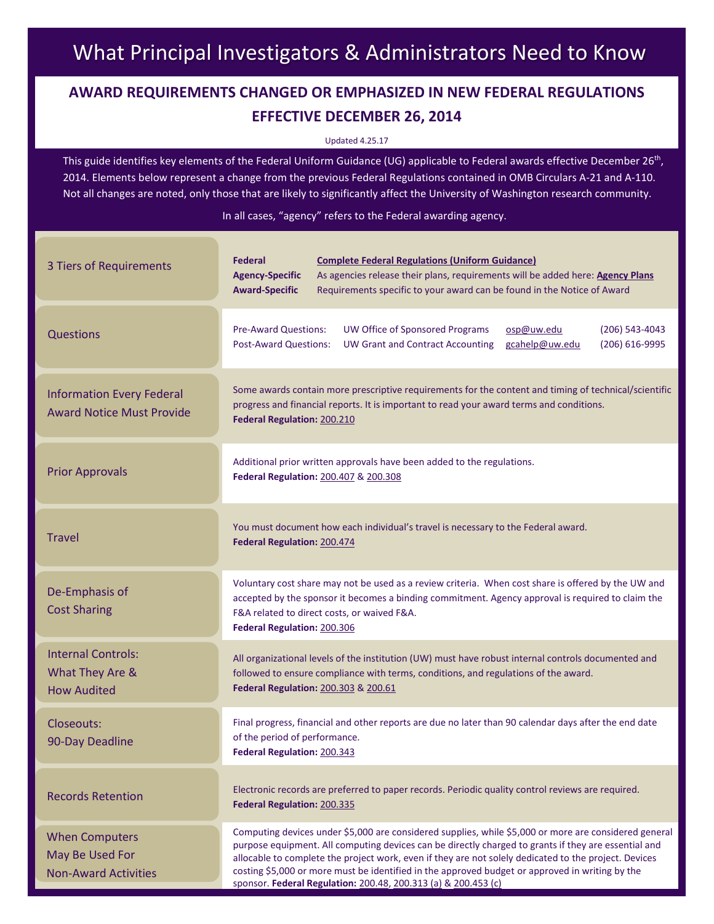# What Principal Investigators & Administrators Need to Know

## **AWARD REQUIREMENTS CHANGED OR EMPHASIZED IN NEW FEDERAL REGULATIONS EFFECTIVE DECEMBER 26, 2014**

Updated 4.25.17

This guide identifies key elements of the Federal Uniform Guidance (UG) applicable to Federal awards effective December 26<sup>th</sup>, 2014. Elements below represent a change from the previous Federal Regulations contained in OMB Circulars A-21 and A-110. Not all changes are noted, only those that are likely to significantly affect the University of Washington research community.

In all cases, "agency" refers to the Federal awarding agency.

| 3 Tiers of Requirements                                                 | <b>Federal</b><br><b>Complete Federal Regulations (Uniform Guidance)</b><br>As agencies release their plans, requirements will be added here: Agency Plans<br><b>Agency-Specific</b><br><b>Award-Specific</b><br>Requirements specific to your award can be found in the Notice of Award                                                                                                                                                                                                    |
|-------------------------------------------------------------------------|---------------------------------------------------------------------------------------------------------------------------------------------------------------------------------------------------------------------------------------------------------------------------------------------------------------------------------------------------------------------------------------------------------------------------------------------------------------------------------------------|
| <b>Questions</b>                                                        | <b>Pre-Award Questions:</b><br><b>UW Office of Sponsored Programs</b><br>(206) 543-4043<br>osp@uw.edu<br><b>Post-Award Questions:</b><br><b>UW Grant and Contract Accounting</b><br>gcahelp@uw.edu<br>(206) 616-9995                                                                                                                                                                                                                                                                        |
| <b>Information Every Federal</b><br><b>Award Notice Must Provide</b>    | Some awards contain more prescriptive requirements for the content and timing of technical/scientific<br>progress and financial reports. It is important to read your award terms and conditions.<br>Federal Regulation: 200.210                                                                                                                                                                                                                                                            |
| <b>Prior Approvals</b>                                                  | Additional prior written approvals have been added to the regulations.<br>Federal Regulation: 200.407 & 200.308                                                                                                                                                                                                                                                                                                                                                                             |
| <b>Travel</b>                                                           | You must document how each individual's travel is necessary to the Federal award.<br>Federal Regulation: 200.474                                                                                                                                                                                                                                                                                                                                                                            |
| De-Emphasis of<br><b>Cost Sharing</b>                                   | Voluntary cost share may not be used as a review criteria. When cost share is offered by the UW and<br>accepted by the sponsor it becomes a binding commitment. Agency approval is required to claim the<br>F&A related to direct costs, or waived F&A.<br>Federal Regulation: 200.306                                                                                                                                                                                                      |
| <b>Internal Controls:</b><br>What They Are &<br><b>How Audited</b>      | All organizational levels of the institution (UW) must have robust internal controls documented and<br>followed to ensure compliance with terms, conditions, and regulations of the award.<br>Federal Regulation: 200.303 & 200.61                                                                                                                                                                                                                                                          |
| Closeouts:<br>90-Day Deadline                                           | Final progress, financial and other reports are due no later than 90 calendar days after the end date<br>of the period of performance.<br>Federal Regulation: 200.343                                                                                                                                                                                                                                                                                                                       |
| <b>Records Retention</b>                                                | Electronic records are preferred to paper records. Periodic quality control reviews are required.<br>Federal Regulation: 200.335                                                                                                                                                                                                                                                                                                                                                            |
| <b>When Computers</b><br>May Be Used For<br><b>Non-Award Activities</b> | Computing devices under \$5,000 are considered supplies, while \$5,000 or more are considered general<br>purpose equipment. All computing devices can be directly charged to grants if they are essential and<br>allocable to complete the project work, even if they are not solely dedicated to the project. Devices<br>costing \$5,000 or more must be identified in the approved budget or approved in writing by the<br>sponsor. Federal Regulation: 200.48, 200.313 (a) & 200.453 (c) |